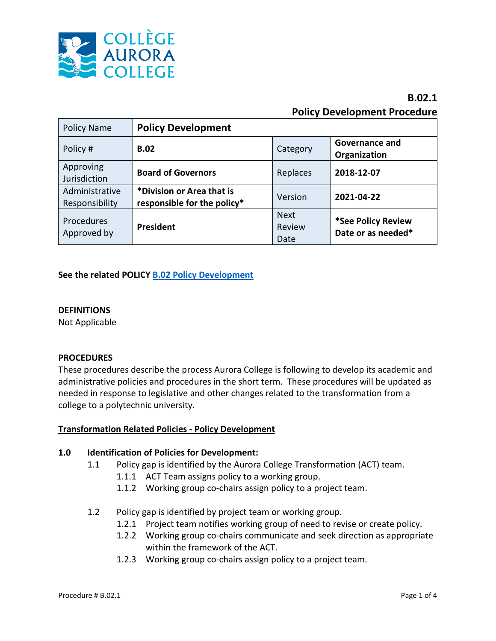

# **B.02.1 Policy Development Procedure**

| <b>Policy Name</b>               | <b>Policy Development</b>                                |                               |                                          |
|----------------------------------|----------------------------------------------------------|-------------------------------|------------------------------------------|
| Policy #                         | <b>B.02</b>                                              | Category                      | Governance and<br>Organization           |
| Approving<br>Jurisdiction        | <b>Board of Governors</b>                                | Replaces                      | 2018-12-07                               |
| Administrative<br>Responsibility | *Division or Area that is<br>responsible for the policy* | Version                       | 2021-04-22                               |
| Procedures<br>Approved by        | President                                                | <b>Next</b><br>Review<br>Date | *See Policy Review<br>Date or as needed* |

# **See the related POLICY [B.02 Policy Development](https://www.auroracollege.nt.ca/wp-content/uploads/2021/03/B02-Policy-Development-November-2018.pdf)**

#### **DEFINITIONS**

Not Applicable

#### **PROCEDURES**

These procedures describe the process Aurora College is following to develop its academic and administrative policies and procedures in the short term. These procedures will be updated as needed in response to legislative and other changes related to the transformation from a college to a polytechnic university.

#### **Transformation Related Policies - Policy Development**

#### **1.0 Identification of Policies for Development:**

- 1.1 Policy gap is identified by the Aurora College Transformation (ACT) team.
	- 1.1.1 ACT Team assigns policy to a working group.
	- 1.1.2 Working group co-chairs assign policy to a project team.
- 1.2 Policy gap is identified by project team or working group.
	- 1.2.1 Project team notifies working group of need to revise or create policy.
	- 1.2.2 Working group co-chairs communicate and seek direction as appropriate within the framework of the ACT.
	- 1.2.3 Working group co-chairs assign policy to a project team.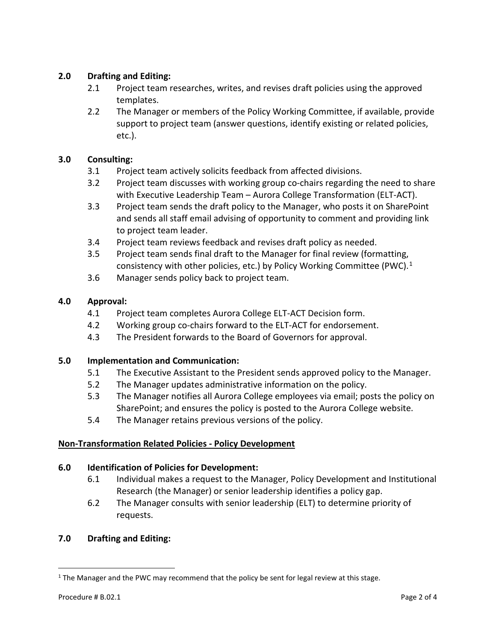# **2.0 Drafting and Editing:**

- 2.1 Project team researches, writes, and revises draft policies using the approved templates.
- 2.2 The Manager or members of the Policy Working Committee, if available, provide support to project team (answer questions, identify existing or related policies, etc.).

# **3.0 Consulting:**

- 3.1 Project team actively solicits feedback from affected divisions.
- 3.2 Project team discusses with working group co-chairs regarding the need to share with Executive Leadership Team – Aurora College Transformation (ELT-ACT).
- 3.3 Project team sends the draft policy to the Manager, who posts it on SharePoint and sends all staff email advising of opportunity to comment and providing link to project team leader.
- 3.4 Project team reviews feedback and revises draft policy as needed.
- 3.5 Project team sends final draft to the Manager for final review (formatting, consistency with other policies, etc.) by Policy Working Committee (PWC).<sup>[1](#page-1-0)</sup>
- 3.6 Manager sends policy back to project team.

# **4.0 Approval:**

- 4.1 Project team completes Aurora College ELT-ACT Decision form.
- 4.2 Working group co-chairs forward to the ELT-ACT for endorsement.
- 4.3 The President forwards to the Board of Governors for approval.

# **5.0 Implementation and Communication:**

- 5.1 The Executive Assistant to the President sends approved policy to the Manager.
- 5.2 The Manager updates administrative information on the policy.
- 5.3 The Manager notifies all Aurora College employees via email; posts the policy on SharePoint; and ensures the policy is posted to the Aurora College website.
- 5.4 The Manager retains previous versions of the policy.

# **Non-Transformation Related Policies - Policy Development**

# **6.0 Identification of Policies for Development:**

- 6.1 Individual makes a request to the Manager, Policy Development and Institutional Research (the Manager) or senior leadership identifies a policy gap.
- 6.2 The Manager consults with senior leadership (ELT) to determine priority of requests.

# **7.0 Drafting and Editing:**

<span id="page-1-0"></span><sup>&</sup>lt;sup>1</sup> The Manager and the PWC may recommend that the policy be sent for legal review at this stage.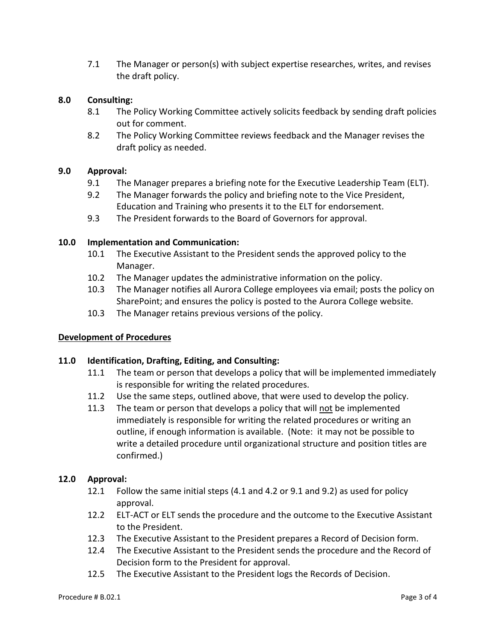7.1 The Manager or person(s) with subject expertise researches, writes, and revises the draft policy.

## **8.0 Consulting:**

- 8.1 The Policy Working Committee actively solicits feedback by sending draft policies out for comment.
- 8.2 The Policy Working Committee reviews feedback and the Manager revises the draft policy as needed.

#### **9.0 Approval:**

- 9.1 The Manager prepares a briefing note for the Executive Leadership Team (ELT).
- 9.2 The Manager forwards the policy and briefing note to the Vice President, Education and Training who presents it to the ELT for endorsement.
- 9.3 The President forwards to the Board of Governors for approval.

#### **10.0 Implementation and Communication:**

- 10.1 The Executive Assistant to the President sends the approved policy to the Manager.
- 10.2 The Manager updates the administrative information on the policy.
- 10.3 The Manager notifies all Aurora College employees via email; posts the policy on SharePoint; and ensures the policy is posted to the Aurora College website.
- 10.3 The Manager retains previous versions of the policy.

# **Development of Procedures**

#### **11.0 Identification, Drafting, Editing, and Consulting:**

- 11.1 The team or person that develops a policy that will be implemented immediately is responsible for writing the related procedures.
- 11.2 Use the same steps, outlined above, that were used to develop the policy.
- 11.3 The team or person that develops a policy that will not be implemented immediately is responsible for writing the related procedures or writing an outline, if enough information is available. (Note: it may not be possible to write a detailed procedure until organizational structure and position titles are confirmed.)

#### **12.0 Approval:**

- 12.1 Follow the same initial steps (4.1 and 4.2 or 9.1 and 9.2) as used for policy approval.
- 12.2 ELT-ACT or ELT sends the procedure and the outcome to the Executive Assistant to the President.
- 12.3 The Executive Assistant to the President prepares a Record of Decision form.
- 12.4 The Executive Assistant to the President sends the procedure and the Record of Decision form to the President for approval.
- 12.5 The Executive Assistant to the President logs the Records of Decision.